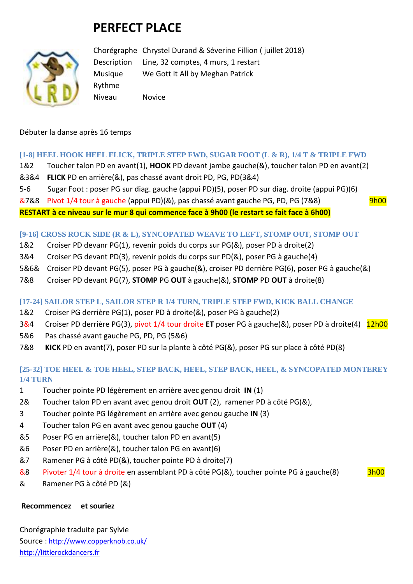# **PERFECT PLACE**



Chorégraphe Chrystel Durand & Séverine Fillion ( juillet 2018) Description Line, 32 comptes, 4 murs, 1 restart Musique We Gott It All by Meghan Patrick Rythme Niveau Novice

Débuter la danse après 16 temps

#### **[1-8] HEEL HOOK HEEL FLICK, TRIPLE STEP FWD, SUGAR FOOT (L & R), 1/4 T & TRIPLE FWD**

- 1&2 Toucher talon PD en avant(1), **HOOK** PD devant jambe gauche(&), toucher talon PD en avant(2)
- &3&4 **FLICK** PD en arrière(&), pas chassé avant droit PD, PG, PD(3&4)
- 5-6 Sugar Foot : poser PG sur diag. gauche (appui PD)(5), poser PD sur diag. droite (appui PG)(6)
- $\&7\&8$  Pivot 1/4 tour à gauche (appui PD)(&), pas chassé avant gauche PG, PD, PG (7&8) 9h00

**RESTART à ce niveau sur le mur 8 qui commence face à 9h00 (le restart se fait face à 6h00)**

#### **[9-16] CROSS ROCK SIDE (R & L), SYNCOPATED WEAVE TO LEFT, STOMP OUT, STOMP OUT**

- 1&2 Croiser PD devanr PG(1), revenir poids du corps sur PG(&), poser PD à droite(2)
- 3&4 Croiser PG devant PD(3), revenir poids du corps sur PD(&), poser PG à gauche(4)
- 5&6& Croiser PD devant PG(5), poser PG à gauche(&), croiser PD derrière PG(6), poser PG à gauche(&)
- 7&8 Croiser PD devant PG(7), **STOMP** PG **OUT** à gauche(&), **STOMP** PD **OUT** à droite(8)

#### **[17-24] SAILOR STEP L, SAILOR STEP R 1/4 TURN, TRIPLE STEP FWD, KICK BALL CHANGE**

- 1&2 Croiser PG derrière PG(1), poser PD à droite(&), poser PG à gauche(2)
- 3&4 Croiser PD derrière PG(3), pivot 1/4 tour droite **ET** poser PG à gauche(&), poser PD à droite(4) 12h00
- 5&6 Pas chassé avant gauche PG, PD, PG (5&6)
- 7&8 **KICK** PD en avant(7), poser PD sur la plante à côté PG(&), poser PG sur place à côté PD(8)

## **[25-32] TOE HEEL & TOE HEEL, STEP BACK, HEEL, STEP BACK, HEEL, & SYNCOPATED MONTEREY 1/4 TURN**

- 1 Toucher pointe PD légèrement en arrière avec genou droit **IN** (1)
- 2& Toucher talon PD en avant avec genou droit **OUT** (2), ramener PD à côté PG(&),
- 3 Toucher pointe PG légèrement en arrière avec genou gauche **IN** (3)
- 4 Toucher talon PG en avant avec genou gauche **OUT** (4)
- &5 Poser PG en arrière(&), toucher talon PD en avant(5)
- &6 Poser PD en arrière(&), toucher talon PG en avant(6)
- &7 Ramener PG à côté PD(&), toucher pointe PD à droite(7)
- &8 Pivoter 1/4 tour à droite en assemblant PD à côté PG(&), toucher pointe PG à gauche(8) 3h00

& Ramener PG à côté PD (&)

#### **Recommencez et souriez**

Chorégraphie traduite par Sylvie Source : [http://www.copperknob.co.uk/](https://www.copperknob.co.uk/)  [http://littlerockdancers.fr](http://littlerockdancers.fr/)